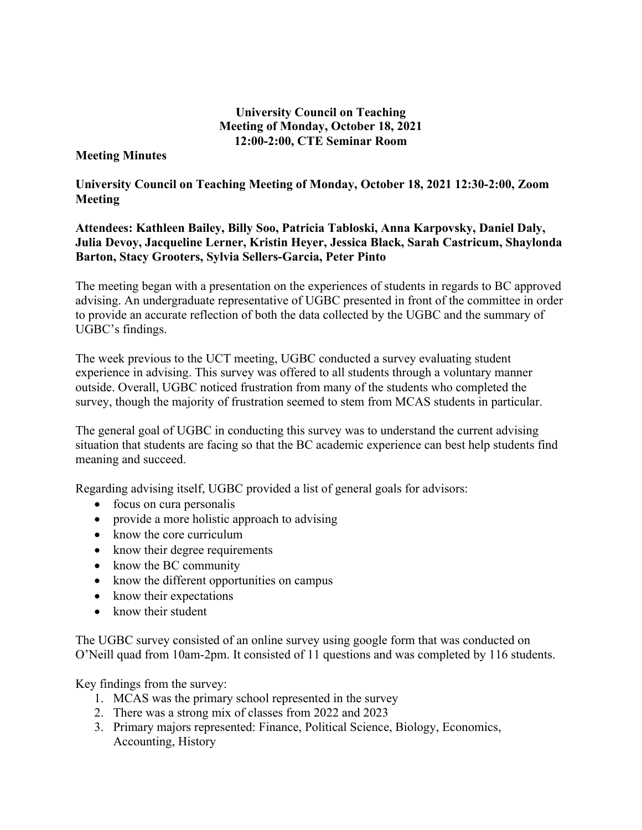## **University Council on Teaching Meeting of Monday, October 18, 2021 12:00-2:00, CTE Seminar Room**

## **Meeting Minutes**

**University Council on Teaching Meeting of Monday, October 18, 2021 12:30-2:00, Zoom Meeting** 

**Attendees: Kathleen Bailey, Billy Soo, Patricia Tabloski, Anna Karpovsky, Daniel Daly, Julia Devoy, Jacqueline Lerner, Kristin Heyer, Jessica Black, Sarah Castricum, Shaylonda Barton, Stacy Grooters, Sylvia Sellers-Garcia, Peter Pinto** 

The meeting began with a presentation on the experiences of students in regards to BC approved advising. An undergraduate representative of UGBC presented in front of the committee in order to provide an accurate reflection of both the data collected by the UGBC and the summary of UGBC's findings.

The week previous to the UCT meeting, UGBC conducted a survey evaluating student experience in advising. This survey was offered to all students through a voluntary manner outside. Overall, UGBC noticed frustration from many of the students who completed the survey, though the majority of frustration seemed to stem from MCAS students in particular.

The general goal of UGBC in conducting this survey was to understand the current advising situation that students are facing so that the BC academic experience can best help students find meaning and succeed.

Regarding advising itself, UGBC provided a list of general goals for advisors:

- focus on cura personalis
- provide a more holistic approach to advising
- know the core curriculum
- know their degree requirements
- know the BC community
- know the different opportunities on campus
- know their expectations
- know their student

The UGBC survey consisted of an online survey using google form that was conducted on O'Neill quad from 10am-2pm. It consisted of 11 questions and was completed by 116 students.

Key findings from the survey:

- 1. MCAS was the primary school represented in the survey
- 2. There was a strong mix of classes from 2022 and 2023
- 3. Primary majors represented: Finance, Political Science, Biology, Economics, Accounting, History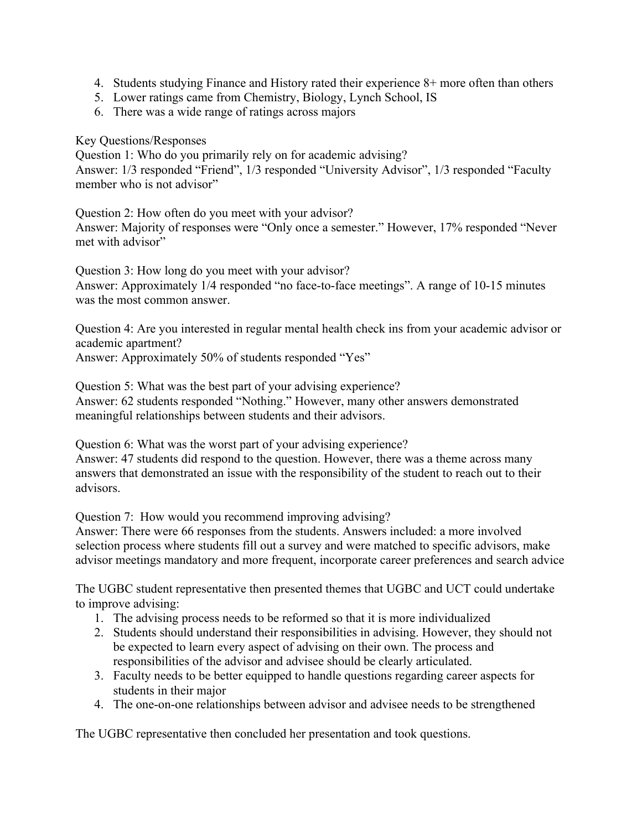- 4. Students studying Finance and History rated their experience 8+ more often than others
- 5. Lower ratings came from Chemistry, Biology, Lynch School, IS
- 6. There was a wide range of ratings across majors

Key Questions/Responses

Question 1: Who do you primarily rely on for academic advising? Answer: 1/3 responded "Friend", 1/3 responded "University Advisor", 1/3 responded "Faculty member who is not advisor"

Question 2: How often do you meet with your advisor? Answer: Majority of responses were "Only once a semester." However, 17% responded "Never met with advisor"

Question 3: How long do you meet with your advisor? Answer: Approximately 1/4 responded "no face-to-face meetings". A range of 10-15 minutes was the most common answer.

Question 4: Are you interested in regular mental health check ins from your academic advisor or academic apartment?

Answer: Approximately 50% of students responded "Yes"

Question 5: What was the best part of your advising experience? Answer: 62 students responded "Nothing." However, many other answers demonstrated meaningful relationships between students and their advisors.

Question 6: What was the worst part of your advising experience? Answer: 47 students did respond to the question. However, there was a theme across many answers that demonstrated an issue with the responsibility of the student to reach out to their advisors.

Question 7: How would you recommend improving advising?

Answer: There were 66 responses from the students. Answers included: a more involved selection process where students fill out a survey and were matched to specific advisors, make advisor meetings mandatory and more frequent, incorporate career preferences and search advice

The UGBC student representative then presented themes that UGBC and UCT could undertake to improve advising:

- 1. The advising process needs to be reformed so that it is more individualized
- 2. Students should understand their responsibilities in advising. However, they should not be expected to learn every aspect of advising on their own. The process and responsibilities of the advisor and advisee should be clearly articulated.
- 3. Faculty needs to be better equipped to handle questions regarding career aspects for students in their major
- 4. The one-on-one relationships between advisor and advisee needs to be strengthened

The UGBC representative then concluded her presentation and took questions.